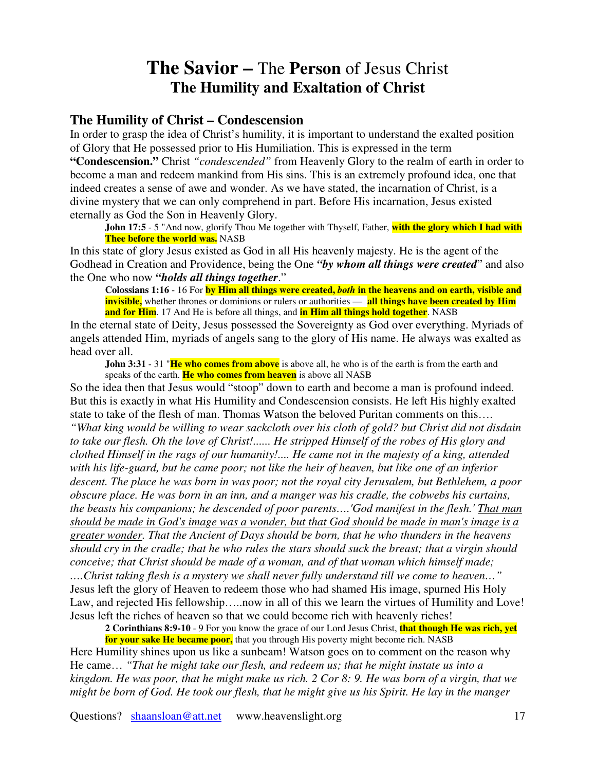## **The Savior –** The **Person** of Jesus Christ **The Humility and Exaltation of Christ**

## **The Humility of Christ – Condescension**

In order to grasp the idea of Christ's humility, it is important to understand the exalted position of Glory that He possessed prior to His Humiliation. This is expressed in the term **"Condescension."** Christ *"condescended"* from Heavenly Glory to the realm of earth in order to become a man and redeem mankind from His sins. This is an extremely profound idea, one that indeed creates a sense of awe and wonder. As we have stated, the incarnation of Christ, is a divine mystery that we can only comprehend in part. Before His incarnation, Jesus existed eternally as God the Son in Heavenly Glory.

**John 17:5** - 5 "And now, glorify Thou Me together with Thyself, Father, **with the glory which I had with Thee before the world was.** NASB

In this state of glory Jesus existed as God in all His heavenly majesty. He is the agent of the Godhead in Creation and Providence, being the One *"by whom all things were created*" and also the One who now *"holds all things together*."

**Colossians 1:16** - 16 For **by Him all things were created,** *both* **in the heavens and on earth, visible and invisible,** whether thrones or dominions or rulers or authorities — **all things have been created by Him and for Him**. 17 And He is before all things, and **in Him all things hold together**. NASB

In the eternal state of Deity, Jesus possessed the Sovereignty as God over everything. Myriads of angels attended Him, myriads of angels sang to the glory of His name. He always was exalted as head over all.

**John 3:31** - 31 "**He who comes from above** is above all, he who is of the earth is from the earth and speaks of the earth. **He who comes from heaven** is above all NASB

So the idea then that Jesus would "stoop" down to earth and become a man is profound indeed. But this is exactly in what His Humility and Condescension consists. He left His highly exalted state to take of the flesh of man. Thomas Watson the beloved Puritan comments on this…. *"What king would be willing to wear sackcloth over his cloth of gold? but Christ did not disdain* to take our flesh. Oh the love of Christ!...... He stripped Himself of the robes of His glory and *clothed Himself in the rags of our humanity!.... He came not in the majesty of a king, attended* with his life-guard, but he came poor; not like the heir of heaven, but like one of an inferior *descent. The place he was born in was poor; not the royal city Jerusalem, but Bethlehem, a poor obscure place. He was born in an inn, and a manger was his cradle, the cobwebs his curtains, the beasts his companions; he descended of poor parents….'God manifest in the flesh.'That man* should be made in God's image was a wonder, but that God should be made in man's image is a *greater wonder. That the Ancient of Days should be born, that he who thunders in the heavens* should cry in the cradle; that he who rules the stars should suck the breast; that a virgin should *conceive; that Christ should be made of a woman, and of that woman which himself made; ….Christ taking flesh is a mystery we shall never fully understand till we come to heaven…"* Jesus left the glory of Heaven to redeem those who had shamed His image, spurned His Holy Law, and rejected His fellowship…..now in all of this we learn the virtues of Humility and Love!

Jesus left the riches of heaven so that we could become rich with heavenly riches!

**2 Corinthians 8:9-10** - 9 For you know the grace of our Lord Jesus Christ, **that though He was rich, yet for your sake He became poor,** that you through His poverty might become rich. NASB

Here Humility shines upon us like a sunbeam! Watson goes on to comment on the reason why He came… *"That he might take our flesh, and redeem us; that he might instate us into a* kingdom. He was poor, that he might make us rich.  $2$  Cor 8: 9. He was born of a virgin, that we might be born of God. He took our flesh, that he might give us his Spirit. He lay in the manger